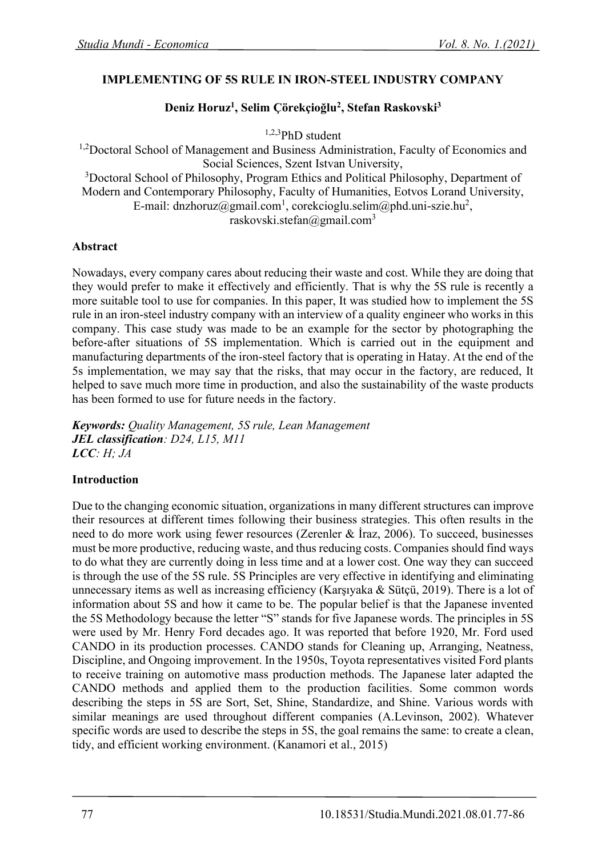### **IMPLEMENTING OF 5S RULE IN IRON-STEEL INDUSTRY COMPANY**

## **Deniz Horuz<sup>1</sup> , Selim Çörekçioğlu<sup>2</sup> , Stefan Raskovski<sup>3</sup>**

1,2,3PhD student

<sup>1,2</sup>Doctoral School of Management and Business Administration, Faculty of Economics and Social Sciences, Szent Istvan University, <sup>3</sup>Doctoral School of Philosophy, Program Ethics and Political Philosophy, Department of Modern and Contemporary Philosophy, Faculty of Humanities, Eotvos Lorand University, E-mail: dnzhoruz@gmail.com<sup>1</sup>, corekcioglu.selim@phd.uni-szie.hu<sup>2</sup>, raskovski.stefan@gmail.com<sup>3</sup>

### **Abstract**

Nowadays, every company cares about reducing their waste and cost. While they are doing that they would prefer to make it effectively and efficiently. That is why the 5S rule is recently a more suitable tool to use for companies. In this paper, It was studied how to implement the 5S rule in an iron-steel industry company with an interview of a quality engineer who works in this company. This case study was made to be an example for the sector by photographing the before-after situations of 5S implementation. Which is carried out in the equipment and manufacturing departments of the iron-steel factory that is operating in Hatay. At the end of the 5s implementation, we may say that the risks, that may occur in the factory, are reduced, It helped to save much more time in production, and also the sustainability of the waste products has been formed to use for future needs in the factory.

*Keywords: Quality Management, 5S rule, Lean Management JEL classification: D24, L15, M11 LCC: H; JA*

# **Introduction**

Due to the changing economic situation, organizations in many different structures can improve their resources at different times following their business strategies. This often results in the need to do more work using fewer resources (Zerenler & İraz, 2006). To succeed, businesses must be more productive, reducing waste, and thus reducing costs. Companies should find ways to do what they are currently doing in less time and at a lower cost. One way they can succeed is through the use of the 5S rule. 5S Principles are very effective in identifying and eliminating unnecessary items as well as increasing efficiency (Karşıyaka & Sütçü, 2019). There is a lot of information about 5S and how it came to be. The popular belief is that the Japanese invented the 5S Methodology because the letter "S" stands for five Japanese words. The principles in 5S were used by Mr. Henry Ford decades ago. It was reported that before 1920, Mr. Ford used CANDO in its production processes. CANDO stands for Cleaning up, Arranging, Neatness, Discipline, and Ongoing improvement. In the 1950s, Toyota representatives visited Ford plants to receive training on automotive mass production methods. The Japanese later adapted the CANDO methods and applied them to the production facilities. Some common words describing the steps in 5S are Sort, Set, Shine, Standardize, and Shine. Various words with similar meanings are used throughout different companies (A.Levinson, 2002). Whatever specific words are used to describe the steps in 5S, the goal remains the same: to create a clean, tidy, and efficient working environment. (Kanamori et al., 2015)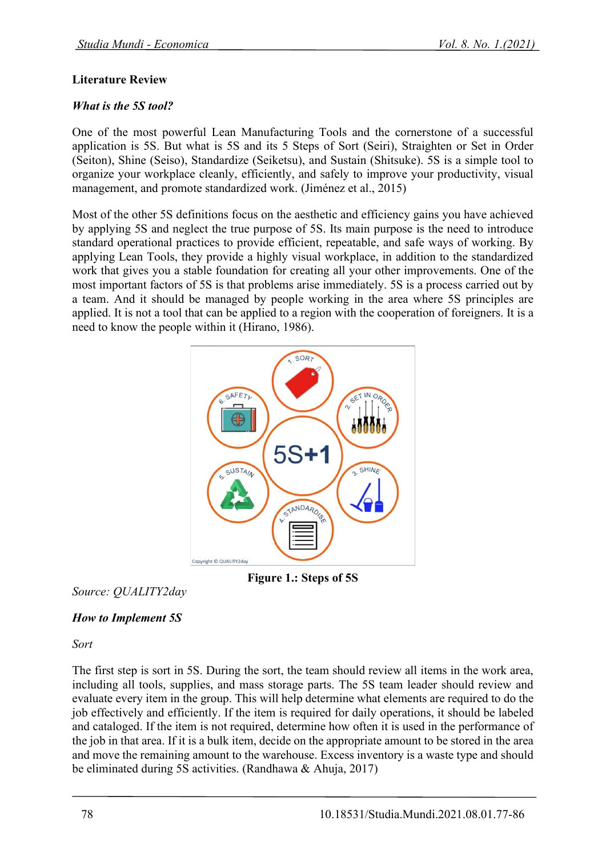### **Literature Review**

### *What is the 5S tool?*

One of the most powerful Lean Manufacturing Tools and the cornerstone of a successful application is 5S. But what is 5S and its 5 Steps of Sort (Seiri), Straighten or Set in Order (Seiton), Shine (Seiso), Standardize (Seiketsu), and Sustain (Shitsuke). 5S is a simple tool to organize your workplace cleanly, efficiently, and safely to improve your productivity, visual management, and promote standardized work. (Jiménez et al., 2015)

Most of the other 5S definitions focus on the aesthetic and efficiency gains you have achieved by applying 5S and neglect the true purpose of 5S. Its main purpose is the need to introduce standard operational practices to provide efficient, repeatable, and safe ways of working. By applying Lean Tools, they provide a highly visual workplace, in addition to the standardized work that gives you a stable foundation for creating all your other improvements. One of the most important factors of 5S is that problems arise immediately. 5S is a process carried out by a team. And it should be managed by people working in the area where 5S principles are applied. It is not a tool that can be applied to a region with the cooperation of foreigners. It is a need to know the people within it (Hirano, 1986).



**Figure 1.: Steps of 5S**

*Source: QUALITY2day*

# *How to Implement 5S*

### *Sort*

The first step is sort in 5S. During the sort, the team should review all items in the work area, including all tools, supplies, and mass storage parts. The 5S team leader should review and evaluate every item in the group. This will help determine what elements are required to do the job effectively and efficiently. If the item is required for daily operations, it should be labeled and cataloged. If the item is not required, determine how often it is used in the performance of the job in that area. If it is a bulk item, decide on the appropriate amount to be stored in the area and move the remaining amount to the warehouse. Excess inventory is a waste type and should be eliminated during 5S activities. (Randhawa & Ahuja, 2017)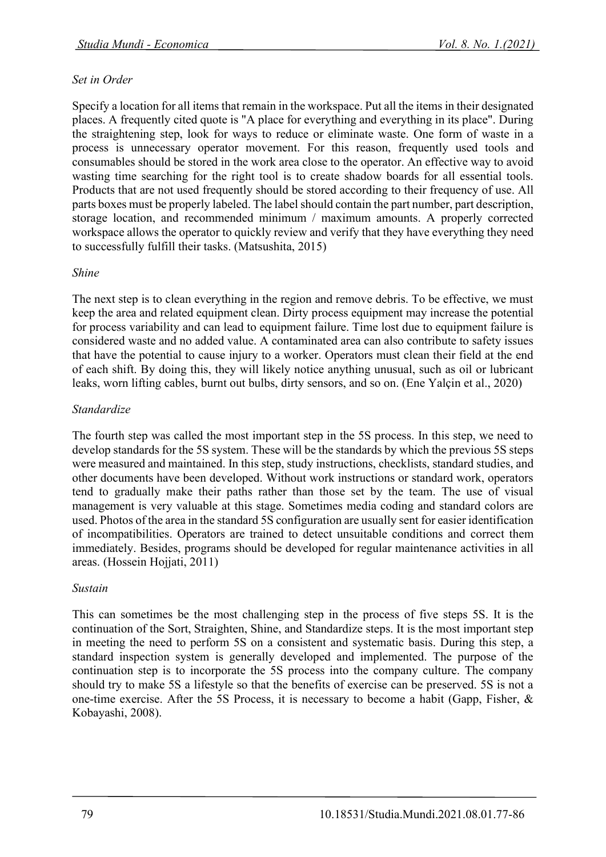### *Set in Order*

Specify a location for all items that remain in the workspace. Put all the items in their designated places. A frequently cited quote is "A place for everything and everything in its place". During the straightening step, look for ways to reduce or eliminate waste. One form of waste in a process is unnecessary operator movement. For this reason, frequently used tools and consumables should be stored in the work area close to the operator. An effective way to avoid wasting time searching for the right tool is to create shadow boards for all essential tools. Products that are not used frequently should be stored according to their frequency of use. All parts boxes must be properly labeled. The label should contain the part number, part description, storage location, and recommended minimum / maximum amounts. A properly corrected workspace allows the operator to quickly review and verify that they have everything they need to successfully fulfill their tasks. (Matsushita, 2015)

#### *Shine*

The next step is to clean everything in the region and remove debris. To be effective, we must keep the area and related equipment clean. Dirty process equipment may increase the potential for process variability and can lead to equipment failure. Time lost due to equipment failure is considered waste and no added value. A contaminated area can also contribute to safety issues that have the potential to cause injury to a worker. Operators must clean their field at the end of each shift. By doing this, they will likely notice anything unusual, such as oil or lubricant leaks, worn lifting cables, burnt out bulbs, dirty sensors, and so on. (Ene Yalçin et al., 2020)

### *Standardize*

The fourth step was called the most important step in the 5S process. In this step, we need to develop standards for the 5S system. These will be the standards by which the previous 5S steps were measured and maintained. In this step, study instructions, checklists, standard studies, and other documents have been developed. Without work instructions or standard work, operators tend to gradually make their paths rather than those set by the team. The use of visual management is very valuable at this stage. Sometimes media coding and standard colors are used. Photos of the area in the standard 5S configuration are usually sent for easier identification of incompatibilities. Operators are trained to detect unsuitable conditions and correct them immediately. Besides, programs should be developed for regular maintenance activities in all areas. (Hossein Hojjati, 2011)

### *Sustain*

This can sometimes be the most challenging step in the process of five steps 5S. It is the continuation of the Sort, Straighten, Shine, and Standardize steps. It is the most important step in meeting the need to perform 5S on a consistent and systematic basis. During this step, a standard inspection system is generally developed and implemented. The purpose of the continuation step is to incorporate the 5S process into the company culture. The company should try to make 5S a lifestyle so that the benefits of exercise can be preserved. 5S is not a one-time exercise. After the 5S Process, it is necessary to become a habit (Gapp, Fisher, & Kobayashi, 2008).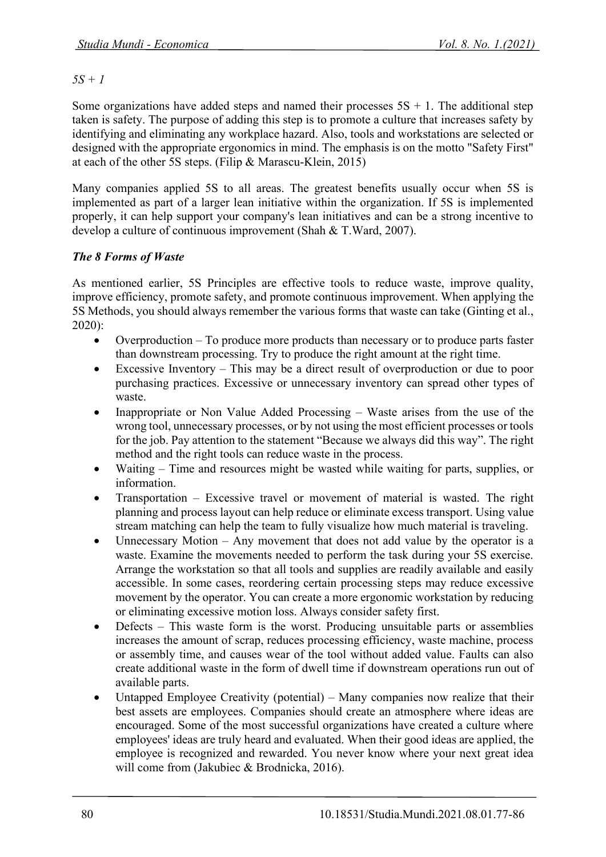*5S + 1*

Some organizations have added steps and named their processes  $5S + 1$ . The additional step taken is safety. The purpose of adding this step is to promote a culture that increases safety by identifying and eliminating any workplace hazard. Also, tools and workstations are selected or designed with the appropriate ergonomics in mind. The emphasis is on the motto "Safety First" at each of the other 5S steps. (Filip & Marascu-Klein, 2015)

Many companies applied 5S to all areas. The greatest benefits usually occur when 5S is implemented as part of a larger lean initiative within the organization. If 5S is implemented properly, it can help support your company's lean initiatives and can be a strong incentive to develop a culture of continuous improvement (Shah & T.Ward, 2007).

# *The 8 Forms of Waste*

As mentioned earlier, 5S Principles are effective tools to reduce waste, improve quality, improve efficiency, promote safety, and promote continuous improvement. When applying the 5S Methods, you should always remember the various forms that waste can take (Ginting et al., 2020):

- Overproduction To produce more products than necessary or to produce parts faster than downstream processing. Try to produce the right amount at the right time.
- Excessive Inventory This may be a direct result of overproduction or due to poor purchasing practices. Excessive or unnecessary inventory can spread other types of waste.
- Inappropriate or Non Value Added Processing Waste arises from the use of the wrong tool, unnecessary processes, or by not using the most efficient processes or tools for the job. Pay attention to the statement "Because we always did this way". The right method and the right tools can reduce waste in the process.
- Waiting Time and resources might be wasted while waiting for parts, supplies, or information.
- Transportation Excessive travel or movement of material is wasted. The right planning and process layout can help reduce or eliminate excess transport. Using value stream matching can help the team to fully visualize how much material is traveling.
- Unnecessary Motion  $-$  Any movement that does not add value by the operator is a waste. Examine the movements needed to perform the task during your 5S exercise. Arrange the workstation so that all tools and supplies are readily available and easily accessible. In some cases, reordering certain processing steps may reduce excessive movement by the operator. You can create a more ergonomic workstation by reducing or eliminating excessive motion loss. Always consider safety first.
- Defects This waste form is the worst. Producing unsuitable parts or assemblies increases the amount of scrap, reduces processing efficiency, waste machine, process or assembly time, and causes wear of the tool without added value. Faults can also create additional waste in the form of dwell time if downstream operations run out of available parts.
- Untapped Employee Creativity (potential) Many companies now realize that their best assets are employees. Companies should create an atmosphere where ideas are encouraged. Some of the most successful organizations have created a culture where employees' ideas are truly heard and evaluated. When their good ideas are applied, the employee is recognized and rewarded. You never know where your next great idea will come from (Jakubiec & Brodnicka, 2016).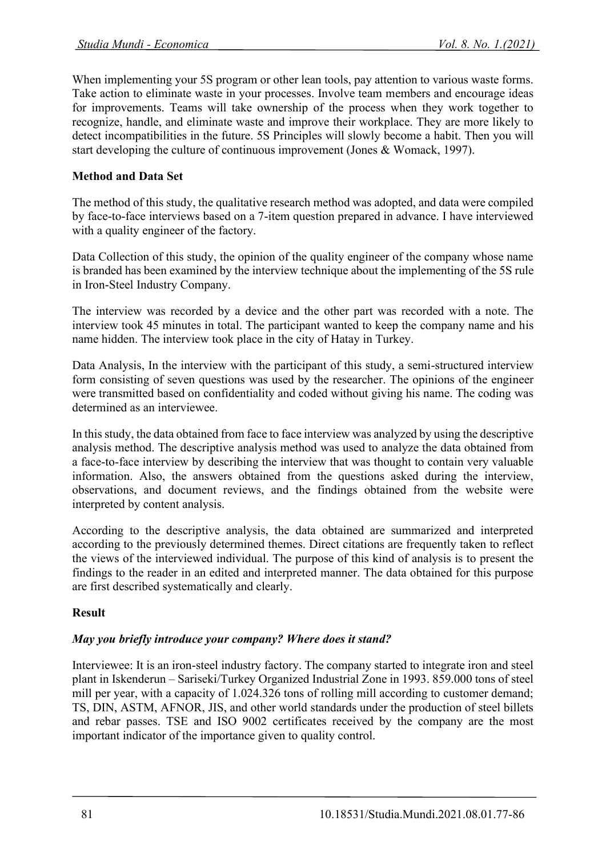When implementing your 5S program or other lean tools, pay attention to various waste forms. Take action to eliminate waste in your processes. Involve team members and encourage ideas for improvements. Teams will take ownership of the process when they work together to recognize, handle, and eliminate waste and improve their workplace. They are more likely to detect incompatibilities in the future. 5S Principles will slowly become a habit. Then you will start developing the culture of continuous improvement (Jones & Womack, 1997).

### **Method and Data Set**

The method of this study, the qualitative research method was adopted, and data were compiled by face-to-face interviews based on a 7-item question prepared in advance. I have interviewed with a quality engineer of the factory.

Data Collection of this study, the opinion of the quality engineer of the company whose name is branded has been examined by the interview technique about the implementing of the 5S rule in Iron-Steel Industry Company.

The interview was recorded by a device and the other part was recorded with a note. The interview took 45 minutes in total. The participant wanted to keep the company name and his name hidden. The interview took place in the city of Hatay in Turkey.

Data Analysis, In the interview with the participant of this study, a semi-structured interview form consisting of seven questions was used by the researcher. The opinions of the engineer were transmitted based on confidentiality and coded without giving his name. The coding was determined as an interviewee.

In this study, the data obtained from face to face interview was analyzed by using the descriptive analysis method. The descriptive analysis method was used to analyze the data obtained from a face-to-face interview by describing the interview that was thought to contain very valuable information. Also, the answers obtained from the questions asked during the interview, observations, and document reviews, and the findings obtained from the website were interpreted by content analysis.

According to the descriptive analysis, the data obtained are summarized and interpreted according to the previously determined themes. Direct citations are frequently taken to reflect the views of the interviewed individual. The purpose of this kind of analysis is to present the findings to the reader in an edited and interpreted manner. The data obtained for this purpose are first described systematically and clearly.

### **Result**

### *May you briefly introduce your company? Where does it stand?*

Interviewee: It is an iron-steel industry factory. The company started to integrate iron and steel plant in Iskenderun – Sariseki/Turkey Organized Industrial Zone in 1993. 859.000 tons of steel mill per year, with a capacity of 1.024.326 tons of rolling mill according to customer demand; TS, DIN, ASTM, AFNOR, JIS, and other world standards under the production of steel billets and rebar passes. TSE and ISO 9002 certificates received by the company are the most important indicator of the importance given to quality control.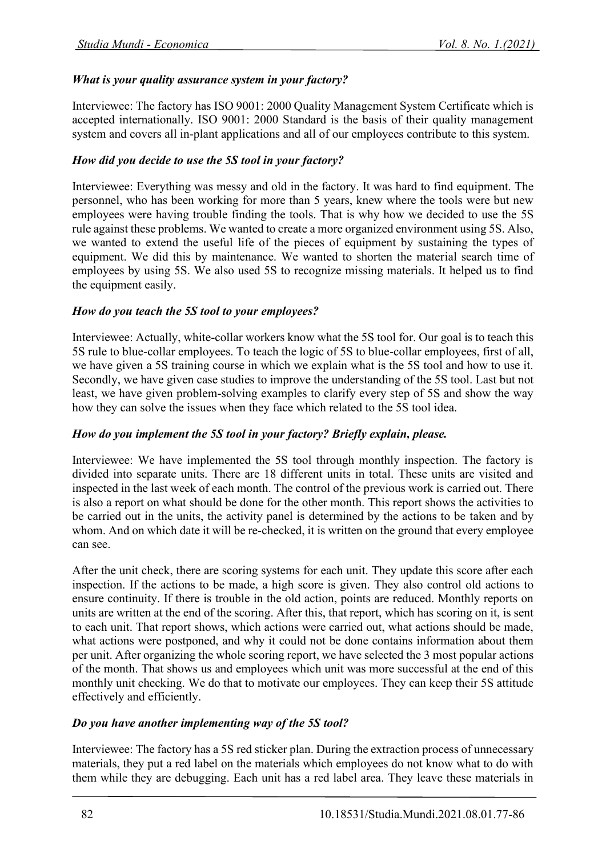### *What is your quality assurance system in your factory?*

Interviewee: The factory has ISO 9001: 2000 Quality Management System Certificate which is accepted internationally. ISO 9001: 2000 Standard is the basis of their quality management system and covers all in-plant applications and all of our employees contribute to this system.

### *How did you decide to use the 5S tool in your factory?*

Interviewee: Everything was messy and old in the factory. It was hard to find equipment. The personnel, who has been working for more than 5 years, knew where the tools were but new employees were having trouble finding the tools. That is why how we decided to use the 5S rule against these problems. We wanted to create a more organized environment using 5S. Also, we wanted to extend the useful life of the pieces of equipment by sustaining the types of equipment. We did this by maintenance. We wanted to shorten the material search time of employees by using 5S. We also used 5S to recognize missing materials. It helped us to find the equipment easily.

### *How do you teach the 5S tool to your employees?*

Interviewee: Actually, white-collar workers know what the 5S tool for. Our goal is to teach this 5S rule to blue-collar employees. To teach the logic of 5S to blue-collar employees, first of all, we have given a 5S training course in which we explain what is the 5S tool and how to use it. Secondly, we have given case studies to improve the understanding of the 5S tool. Last but not least, we have given problem-solving examples to clarify every step of 5S and show the way how they can solve the issues when they face which related to the 5S tool idea.

### *How do you implement the 5S tool in your factory? Briefly explain, please.*

Interviewee: We have implemented the 5S tool through monthly inspection. The factory is divided into separate units. There are 18 different units in total. These units are visited and inspected in the last week of each month. The control of the previous work is carried out. There is also a report on what should be done for the other month. This report shows the activities to be carried out in the units, the activity panel is determined by the actions to be taken and by whom. And on which date it will be re-checked, it is written on the ground that every employee can see.

After the unit check, there are scoring systems for each unit. They update this score after each inspection. If the actions to be made, a high score is given. They also control old actions to ensure continuity. If there is trouble in the old action, points are reduced. Monthly reports on units are written at the end of the scoring. After this, that report, which has scoring on it, is sent to each unit. That report shows, which actions were carried out, what actions should be made, what actions were postponed, and why it could not be done contains information about them per unit. After organizing the whole scoring report, we have selected the 3 most popular actions of the month. That shows us and employees which unit was more successful at the end of this monthly unit checking. We do that to motivate our employees. They can keep their 5S attitude effectively and efficiently.

### *Do you have another implementing way of the 5S tool?*

Interviewee: The factory has a 5S red sticker plan. During the extraction process of unnecessary materials, they put a red label on the materials which employees do not know what to do with them while they are debugging. Each unit has a red label area. They leave these materials in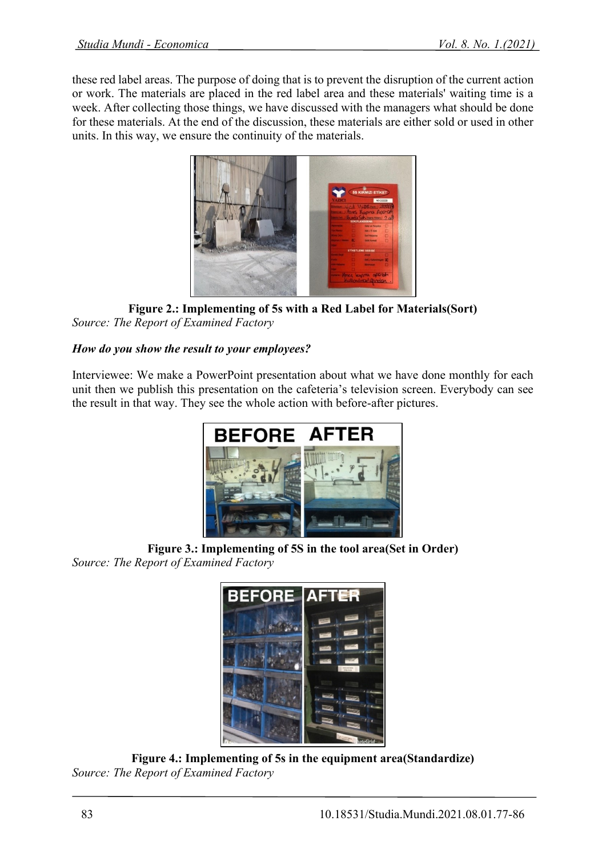these red label areas. The purpose of doing that is to prevent the disruption of the current action or work. The materials are placed in the red label area and these materials' waiting time is a week. After collecting those things, we have discussed with the managers what should be done for these materials. At the end of the discussion, these materials are either sold or used in other units. In this way, we ensure the continuity of the materials.



**Figure 2.: Implementing of 5s with a Red Label for Materials(Sort)** *Source: The Report of Examined Factory*

# *How do you show the result to your employees?*

Interviewee: We make a PowerPoint presentation about what we have done monthly for each unit then we publish this presentation on the cafeteria's television screen. Everybody can see the result in that way. They see the whole action with before-after pictures.



**Figure 3.: Implementing of 5S in the tool area(Set in Order)**  *Source: The Report of Examined Factory*



**Figure 4.: Implementing of 5s in the equipment area(Standardize)** *Source: The Report of Examined Factory*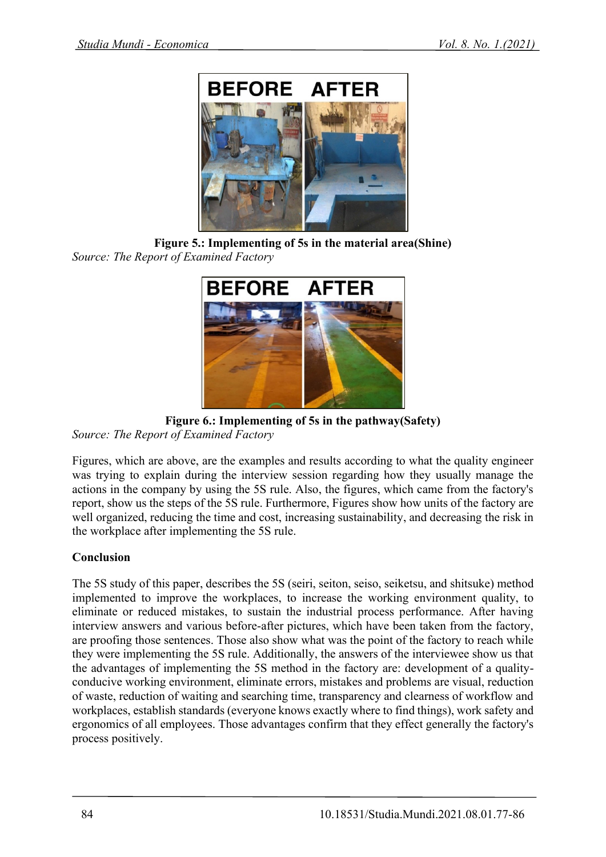

**Figure 5.: Implementing of 5s in the material area(Shine)** *Source: The Report of Examined Factory*



**Figure 6.: Implementing of 5s in the pathway(Safety)**

*Source: The Report of Examined Factory*

Figures, which are above, are the examples and results according to what the quality engineer was trying to explain during the interview session regarding how they usually manage the actions in the company by using the 5S rule. Also, the figures, which came from the factory's report, show us the steps of the 5S rule. Furthermore, Figures show how units of the factory are well organized, reducing the time and cost, increasing sustainability, and decreasing the risk in the workplace after implementing the 5S rule.

# **Conclusion**

The 5S study of this paper, describes the 5S (seiri, seiton, seiso, seiketsu, and shitsuke) method implemented to improve the workplaces, to increase the working environment quality, to eliminate or reduced mistakes, to sustain the industrial process performance. After having interview answers and various before-after pictures, which have been taken from the factory, are proofing those sentences. Those also show what was the point of the factory to reach while they were implementing the 5S rule. Additionally, the answers of the interviewee show us that the advantages of implementing the 5S method in the factory are: development of a qualityconducive working environment, eliminate errors, mistakes and problems are visual, reduction of waste, reduction of waiting and searching time, transparency and clearness of workflow and workplaces, establish standards (everyone knows exactly where to find things), work safety and ergonomics of all employees. Those advantages confirm that they effect generally the factory's process positively.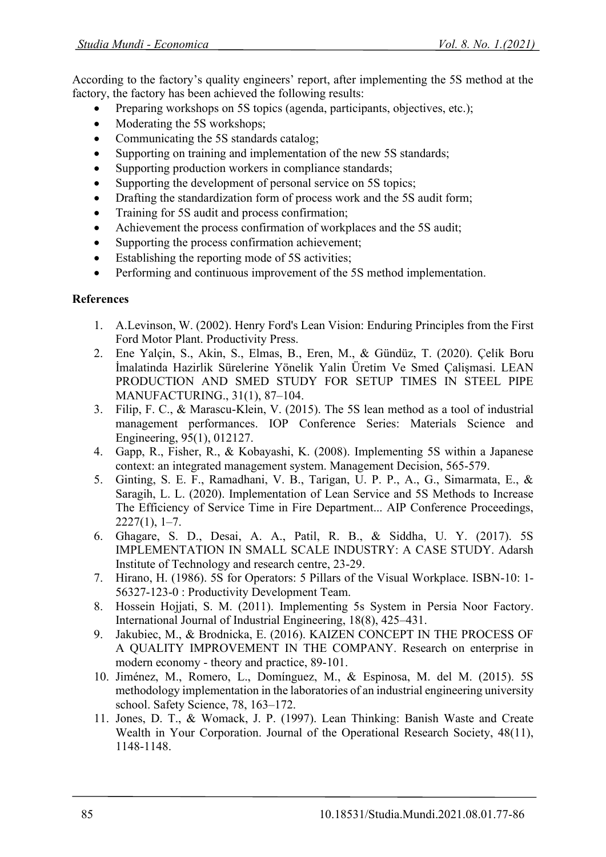According to the factory's quality engineers' report, after implementing the 5S method at the factory, the factory has been achieved the following results:

- Preparing workshops on 5S topics (agenda, participants, objectives, etc.);
- Moderating the 5S workshops;
- Communicating the 5S standards catalog;
- Supporting on training and implementation of the new 5S standards;
- Supporting production workers in compliance standards;
- Supporting the development of personal service on 5S topics;
- Drafting the standardization form of process work and the 5S audit form;
- Training for 5S audit and process confirmation;
- Achievement the process confirmation of workplaces and the 5S audit;
- Supporting the process confirmation achievement:
- Establishing the reporting mode of 5S activities;
- Performing and continuous improvement of the 5S method implementation.

# **References**

- 1. A.Levinson, W. (2002). Henry Ford's Lean Vision: Enduring Principles from the First Ford Motor Plant. Productivity Press.
- 2. Ene Yalçin, S., Akin, S., Elmas, B., Eren, M., & Gündüz, T. (2020). Çelı̇k Boru İmalatinda Hazirlik Sürelerı̇ne Yönelı̇k Yalin Üretı̇m Ve Smed Çalişmasi. LEAN PRODUCTION AND SMED STUDY FOR SETUP TIMES IN STEEL PIPE MANUFACTURING., 31(1), 87–104.
- 3. Filip, F. C., & Marascu-Klein, V. (2015). The 5S lean method as a tool of industrial management performances. IOP Conference Series: Materials Science and Engineering, 95(1), 012127.
- 4. Gapp, R., Fisher, R., & Kobayashi, K. (2008). Implementing 5S within a Japanese context: an integrated management system. Management Decision, 565-579.
- 5. Ginting, S. E. F., Ramadhani, V. B., Tarigan, U. P. P., A., G., Simarmata, E., & Saragih, L. L. (2020). Implementation of Lean Service and 5S Methods to Increase The Efficiency of Service Time in Fire Department... AIP Conference Proceedings,  $2227(1), 1-7.$
- 6. Ghagare, S. D., Desai, A. A., Patil, R. B., & Siddha, U. Y. (2017). 5S IMPLEMENTATION IN SMALL SCALE INDUSTRY: A CASE STUDY. Adarsh Institute of Technology and research centre, 23-29.
- 7. Hirano, H. (1986). 5S for Operators: 5 Pillars of the Visual Workplace. ISBN-10: 1- 56327-123-0 : Productivity Development Team.
- 8. Hossein Hojjati, S. M. (2011). Implementing 5s System in Persia Noor Factory. International Journal of Industrial Engineering, 18(8), 425–431.
- 9. Jakubiec, M., & Brodnicka, E. (2016). KAIZEN CONCEPT IN THE PROCESS OF A QUALITY IMPROVEMENT IN THE COMPANY. Research on enterprise in modern economy - theory and practice, 89-101.
- 10. Jiménez, M., Romero, L., Domínguez, M., & Espinosa, M. del M. (2015). 5S methodology implementation in the laboratories of an industrial engineering university school. Safety Science, 78, 163–172.
- 11. Jones, D. T., & Womack, J. P. (1997). Lean Thinking: Banish Waste and Create Wealth in Your Corporation. Journal of the Operational Research Society, 48(11), 1148-1148.